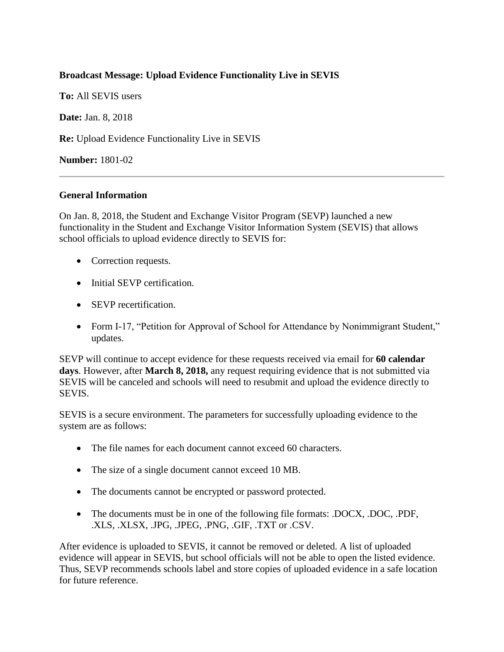## **Broadcast Message: Upload Evidence Functionality Live in SEVIS**

**To:** All SEVIS users

**Date:** Jan. 8, 2018

**Re:** Upload Evidence Functionality Live in SEVIS

**Number:** 1801-02

## **General Information**

On Jan. 8, 2018, the Student and Exchange Visitor Program (SEVP) launched a new functionality in the Student and Exchange Visitor Information System (SEVIS) that allows school officials to upload evidence directly to SEVIS for:

- Correction requests.
- Initial SEVP certification.
- SEVP recertification.
- Form I-17, "Petition for Approval of School for Attendance by Nonimmigrant Student," updates.

SEVP will continue to accept evidence for these requests received via email for **60 calendar days**. However, after **March 8, 2018,** any request requiring evidence that is not submitted via SEVIS will be canceled and schools will need to resubmit and upload the evidence directly to SEVIS.

SEVIS is a secure environment. The parameters for successfully uploading evidence to the system are as follows:

- The file names for each document cannot exceed 60 characters.
- The size of a single document cannot exceed 10 MB.
- The documents cannot be encrypted or password protected.
- The documents must be in one of the following file formats: .DOCX, .DOC, .PDF, .XLS, .XLSX, .JPG, .JPEG, .PNG, .GIF, .TXT or .CSV.

After evidence is uploaded to SEVIS, it cannot be removed or deleted. A list of uploaded evidence will appear in SEVIS, but school officials will not be able to open the listed evidence. Thus, SEVP recommends schools label and store copies of uploaded evidence in a safe location for future reference.